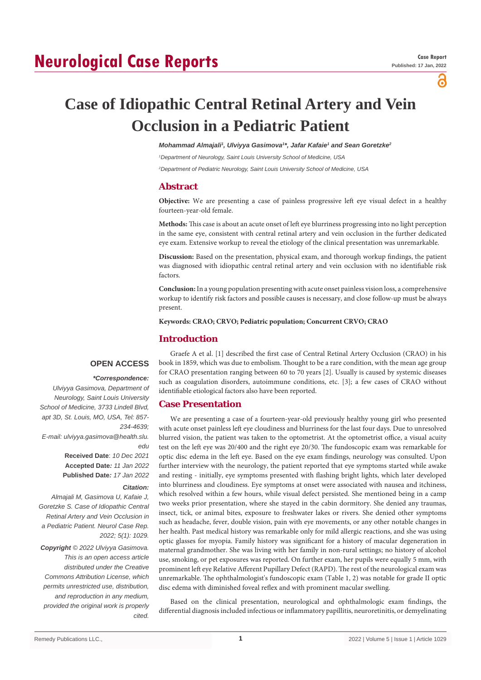## **Neurological Case Reports**

а

# **Case of Idiopathic Central Retinal Artery and Vein Occlusion in a Pediatric Patient**

Mohammad Almajali<sup>1</sup>, Ulviyya Gasimova<sup>1\*</sup>, Jafar Kafaie<sup>1</sup> and Sean Goretzke<sup>2</sup>

*1 Department of Neurology, Saint Louis University School of Medicine, USA*

*2 Department of Pediatric Neurology, Saint Louis University School of Medicine, USA*

## **Abstract**

**Objective:** We are presenting a case of painless progressive left eye visual defect in a healthy fourteen-year-old female.

**Methods:** This case is about an acute onset of left eye blurriness progressing into no light perception in the same eye, consistent with central retinal artery and vein occlusion in the further dedicated eye exam. Extensive workup to reveal the etiology of the clinical presentation was unremarkable.

**Discussion:** Based on the presentation, physical exam, and thorough workup findings, the patient was diagnosed with idiopathic central retinal artery and vein occlusion with no identifiable risk factors.

**Conclusion:** In a young population presenting with acute onset painless vision loss, a comprehensive workup to identify risk factors and possible causes is necessary, and close follow-up must be always present.

**Keywords: CRAO; CRVO; Pediatric population; Concurrent CRVO; CRAO**

## **Introduction**

### **OPEN ACCESS**

#### *\*Correspondence:*

*Ulviyya Gasimova, Department of Neurology, Saint Louis University School of Medicine, 3733 Lindell Blvd, apt 3D, St. Louis, MO, USA, Tel: 857- 234-4639; E-mail: ulviyya.gasimova@health.slu. edu* **Received Date**: *10 Dec 2021* **Accepted Date***: 11 Jan 2022* **Published Date***: 17 Jan 2022*

#### *Citation:*

*Almajali M, Gasimova U, Kafaie J, Goretzke S. Case of Idiopathic Central Retinal Artery and Vein Occlusion in a Pediatric Patient. Neurol Case Rep. 2022; 5(1): 1029.*

*Copyright © 2022 Ulviyya Gasimova. This is an open access article distributed under the Creative Commons Attribution License, which permits unrestricted use, distribution, and reproduction in any medium, provided the original work is properly cited.*

Graefe A et al. [1] described the first case of Central Retinal Artery Occlusion (CRAO) in his book in 1859, which was due to embolism. Thought to be a rare condition, with the mean age group for CRAO presentation ranging between 60 to 70 years [2]. Usually is caused by systemic diseases such as coagulation disorders, autoimmune conditions, etc. [3]; a few cases of CRAO without identifiable etiological factors also have been reported.

## **Case Presentation**

We are presenting a case of a fourteen-year-old previously healthy young girl who presented with acute onset painless left eye cloudiness and blurriness for the last four days. Due to unresolved blurred vision, the patient was taken to the optometrist. At the optometrist office, a visual acuity test on the left eye was 20/400 and the right eye 20/30. The fundoscopic exam was remarkable for optic disc edema in the left eye. Based on the eye exam findings, neurology was consulted. Upon further interview with the neurology, the patient reported that eye symptoms started while awake and resting - initially, eye symptoms presented with flashing bright lights, which later developed into blurriness and cloudiness. Eye symptoms at onset were associated with nausea and itchiness, which resolved within a few hours, while visual defect persisted. She mentioned being in a camp two weeks prior presentation, where she stayed in the cabin dormitory. She denied any traumas, insect, tick, or animal bites, exposure to freshwater lakes or rivers. She denied other symptoms such as headache, fever, double vision, pain with eye movements, or any other notable changes in her health. Past medical history was remarkable only for mild allergic reactions, and she was using optic glasses for myopia. Family history was significant for a history of macular degeneration in maternal grandmother. She was living with her family in non-rural settings; no history of alcohol use, smoking, or pet exposures was reported. On further exam, her pupils were equally 5 mm, with prominent left eye Relative Afferent Pupillary Defect (RAPD). The rest of the neurological exam was unremarkable. The ophthalmologist's fundoscopic exam (Table 1, 2) was notable for grade II optic disc edema with diminished foveal reflex and with prominent macular swelling.

Based on the clinical presentation, neurological and ophthalmologic exam findings, the differential diagnosis included infectious or inflammatory papillitis, neuroretinitis, or demyelinating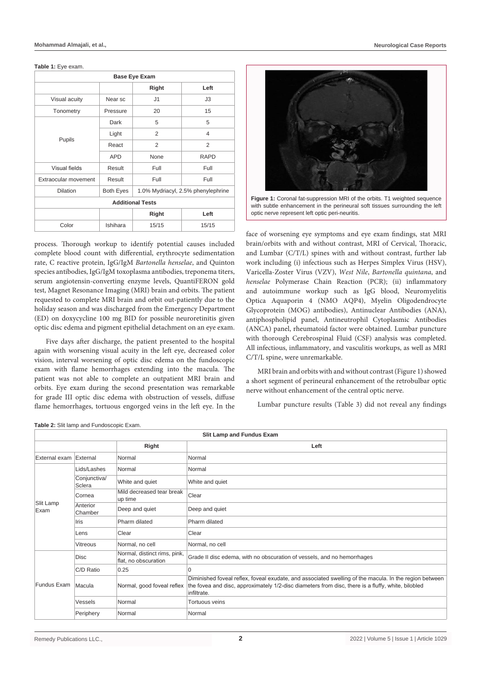#### **Table 1:** Eye exam.

| <b>Base Eye Exam</b> |                  |                                    |                |  |  |
|----------------------|------------------|------------------------------------|----------------|--|--|
|                      |                  | Right                              | Left           |  |  |
| Visual acuity        | Near sc          | J1                                 | J3             |  |  |
| Tonometry            | Pressure         | 20                                 | 15             |  |  |
|                      | Dark             | 5                                  | 5              |  |  |
|                      | Light            | 2                                  | $\overline{4}$ |  |  |
| Pupils               | React            | 2                                  | 2              |  |  |
|                      | <b>APD</b>       | None                               | <b>RAPD</b>    |  |  |
| <b>Visual fields</b> | Result           | Full                               | Full           |  |  |
| Extraocular movement | Result           | Full                               | Full           |  |  |
| <b>Dilation</b>      | <b>Both Eyes</b> | 1.0% Mydriacyl, 2.5% phenylephrine |                |  |  |
|                      |                  | <b>Additional Tests</b>            |                |  |  |
|                      |                  | Right                              | Left           |  |  |
| Color                | Ishihara         | 15/15                              | 15/15          |  |  |

process. Thorough workup to identify potential causes included complete blood count with differential, erythrocyte sedimentation rate, C reactive protein, IgG/IgM *Bartonella henselae*, and Quinton species antibodies, IgG/IgM toxoplasma antibodies, treponema titers, serum angiotensin-converting enzyme levels, QuantiFERON gold test, Magnet Resonance Imaging (MRI) brain and orbits. The patient requested to complete MRI brain and orbit out-patiently due to the holiday season and was discharged from the Emergency Department (ED) on doxycycline 100 mg BID for possible neuroretinitis given optic disc edema and pigment epithelial detachment on an eye exam.

Five days after discharge, the patient presented to the hospital again with worsening visual acuity in the left eye, decreased color vision, interval worsening of optic disc edema on the fundoscopic exam with flame hemorrhages extending into the macula. The patient was not able to complete an outpatient MRI brain and orbits. Eye exam during the second presentation was remarkable for grade III optic disc edema with obstruction of vessels, diffuse flame hemorrhages, tortuous engorged veins in the left eye. In the



Figure 1: Coronal fat-suppression MRI of the orbits. T1 weighted sequence with subtle enhancement in the perineural soft tissues surrounding the left optic nerve represent left optic peri-neuritis.

face of worsening eye symptoms and eye exam findings, stat MRI brain/orbits with and without contrast, MRI of Cervical, Thoracic, and Lumbar (C/T/L) spines with and without contrast, further lab work including (i) infectious such as Herpes Simplex Virus (HSV), Varicella-Zoster Virus (VZV), *West Nile*, *Bartonella quintana*, and *henselae* Polymerase Chain Reaction (PCR); (ii) inflammatory and autoimmune workup such as IgG blood, Neuromyelitis Optica Aquaporin 4 (NMO AQP4), Myelin Oligodendrocyte Glycoprotein (MOG) antibodies), Antinuclear Antibodies (ANA), antiphospholipid panel, Antineutrophil Cytoplasmic Antibodies (ANCA) panel, rheumatoid factor were obtained. Lumbar puncture with thorough Cerebrospinal Fluid (CSF) analysis was completed. All infectious, inflammatory, and vasculitis workups, as well as MRI C/T/L spine, were unremarkable.

MRI brain and orbits with and without contrast (Figure 1) showed a short segment of perineural enhancement of the retrobulbar optic nerve without enhancement of the central optic nerve.

Lumbar puncture results (Table 3) did not reveal any findings

**Table 2:** Slit lamp and Fundoscopic Exam.

| <b>Slit Lamp and Fundus Exam</b> |                        |                                                      |                                                                                                                                                                                                                             |  |
|----------------------------------|------------------------|------------------------------------------------------|-----------------------------------------------------------------------------------------------------------------------------------------------------------------------------------------------------------------------------|--|
|                                  |                        | Right                                                | Left                                                                                                                                                                                                                        |  |
| External exam External           |                        | Normal                                               | Normal                                                                                                                                                                                                                      |  |
| Slit Lamp<br>Exam                | Lids/Lashes            | Normal                                               | Normal                                                                                                                                                                                                                      |  |
|                                  | Conjunctiva/<br>Sclera | White and quiet                                      | White and quiet                                                                                                                                                                                                             |  |
|                                  | Cornea                 | Mild decreased tear break<br>up time                 | Clear                                                                                                                                                                                                                       |  |
|                                  | Anterior<br>Chamber    | Deep and quiet                                       | Deep and quiet                                                                                                                                                                                                              |  |
|                                  | Iris                   | Pharm dilated                                        | Pharm dilated                                                                                                                                                                                                               |  |
|                                  | Lens                   | Clear                                                | Clear                                                                                                                                                                                                                       |  |
|                                  | Vitreous               | Normal, no cell                                      | Normal, no cell                                                                                                                                                                                                             |  |
| Fundus Exam                      | <b>Disc</b>            | Normal, distinct rims, pink,<br>flat, no obscuration | Grade II disc edema, with no obscuration of vessels, and no hemorrhages                                                                                                                                                     |  |
|                                  | C/D Ratio              | 0.25                                                 | $\overline{0}$                                                                                                                                                                                                              |  |
|                                  | Macula                 | Normal, good foveal reflex                           | Diminished foveal reflex, foveal exudate, and associated swelling of the macula. In the region between<br>the fovea and disc, approximately 1/2-disc diameters from disc, there is a fluffy, white, bilobled<br>infiltrate. |  |
|                                  | Vessels                | Normal                                               | Tortuous veins                                                                                                                                                                                                              |  |
|                                  | Periphery              | Normal                                               | Normal                                                                                                                                                                                                                      |  |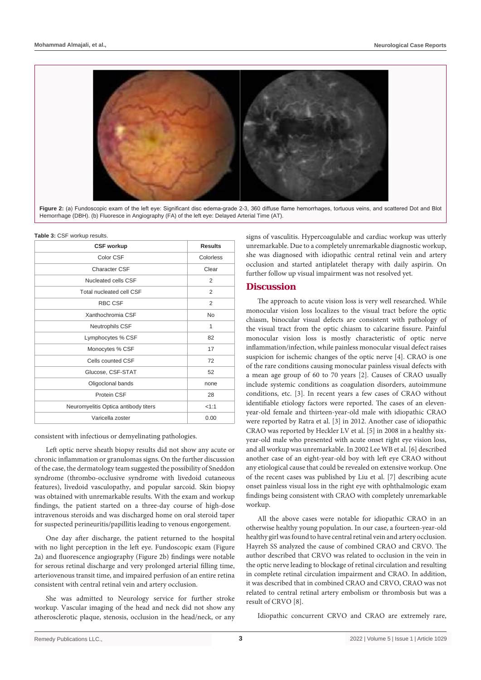

Figure 2: (a) Fundoscopic exam of the left eye: Significant disc edema-grade 2-3, 360 diffuse flame hemorrhages, tortuous veins, and scattered Dot and Blot Hemorrhage (DBH). (b) Fluoresce in Angiography (FA) of the left eye: Delayed Arterial Time (AT).

| <b>CSF workup</b>                    | <b>Results</b> |
|--------------------------------------|----------------|
| Color CSF                            | Colorless      |
| Character CSF                        | Clear          |
| Nucleated cells CSF                  | 2              |
| Total nucleated cell CSF             | 2              |
| <b>RBC CSF</b>                       | 2              |
| Xanthochromia CSF                    | No             |
| Neutrophils CSF                      | 1              |
| Lymphocytes % CSF                    | 82             |
| Monocytes % CSF                      | 17             |
| Cells counted CSF                    | 72             |
| Glucose, CSF-STAT                    | 52             |
| Oligoclonal bands                    | none           |
| Protein CSF                          | 28             |
| Neuromyelitis Optica antibody titers | 1:1            |
| Varicella zoster                     | 0.00           |

consistent with infectious or demyelinating pathologies.

Left optic nerve sheath biopsy results did not show any acute or chronic inflammation or granulomas signs. On the further discussion of the case, the dermatology team suggested the possibility of Sneddon syndrome (thrombo-occlusive syndrome with livedoid cutaneous features), livedoid vasculopathy, and popular sarcoid. Skin biopsy was obtained with unremarkable results. With the exam and workup findings, the patient started on a three-day course of high-dose intravenous steroids and was discharged home on oral steroid taper for suspected perineuritis/papillitis leading to venous engorgement.

One day after discharge, the patient returned to the hospital with no light perception in the left eye. Fundoscopic exam (Figure 2a) and fluorescence angiography (Figure 2b) findings were notable for serous retinal discharge and very prolonged arterial filling time, arteriovenous transit time, and impaired perfusion of an entire retina consistent with central retinal vein and artery occlusion.

She was admitted to Neurology service for further stroke workup. Vascular imaging of the head and neck did not show any atherosclerotic plaque, stenosis, occlusion in the head/neck, or any signs of vasculitis. Hypercoagulable and cardiac workup was utterly unremarkable. Due to a completely unremarkable diagnostic workup, she was diagnosed with idiopathic central retinal vein and artery occlusion and started antiplatelet therapy with daily aspirin. On further follow up visual impairment was not resolved yet.

## **Discussion**

The approach to acute vision loss is very well researched. While monocular vision loss localizes to the visual tract before the optic chiasm, binocular visual defects are consistent with pathology of the visual tract from the optic chiasm to calcarine fissure. Painful monocular vision loss is mostly characteristic of optic nerve inflammation/infection, while painless monocular visual defect raises suspicion for ischemic changes of the optic nerve [4]. CRAO is one of the rare conditions causing monocular painless visual defects with a mean age group of 60 to 70 years [2]. Causes of CRAO usually include systemic conditions as coagulation disorders, autoimmune conditions, etc. [3]. In recent years a few cases of CRAO without identifiable etiology factors were reported. The cases of an elevenyear-old female and thirteen-year-old male with idiopathic CRAO were reported by Ratra et al. [3] in 2012. Another case of idiopathic CRAO was reported by Heckler LV et al. [5] in 2008 in a healthy sixyear-old male who presented with acute onset right eye vision loss, and all workup was unremarkable. In 2002 Lee WB et al. [6] described another case of an eight-year-old boy with left eye CRAO without any etiological cause that could be revealed on extensive workup. One of the recent cases was published by Liu et al. [7] describing acute onset painless visual loss in the right eye with ophthalmologic exam findings being consistent with CRAO with completely unremarkable workup.

All the above cases were notable for idiopathic CRAO in an otherwise healthy young population. In our case, a fourteen-year-old healthy girl was found to have central retinal vein and artery occlusion. Hayreh SS analyzed the cause of combined CRAO and CRVO. The author described that CRVO was related to occlusion in the vein in the optic nerve leading to blockage of retinal circulation and resulting in complete retinal circulation impairment and CRAO. In addition, it was described that in combined CRAO and CRVO, CRAO was not related to central retinal artery embolism or thrombosis but was a result of CRVO [8].

Idiopathic concurrent CRVO and CRAO are extremely rare,